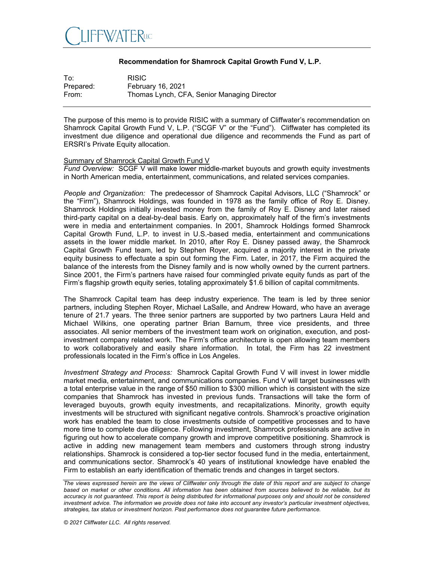

## **Recommendation for Shamrock Capital Growth Fund V, L.P.**

| To:       | <b>RISIC</b>                                |
|-----------|---------------------------------------------|
| Prepared: | February 16, 2021                           |
| From:     | Thomas Lynch, CFA, Senior Managing Director |

The purpose of this memo is to provide RISIC with a summary of Cliffwater's recommendation on Shamrock Capital Growth Fund V, L.P. ("SCGF V" or the "Fund"). Cliffwater has completed its investment due diligence and operational due diligence and recommends the Fund as part of ERSRI's Private Equity allocation.

## Summary of Shamrock Capital Growth Fund V

*Fund Overview:* SCGF V will make lower middle-market buyouts and growth equity investments in North American media, entertainment, communications, and related services companies.

*People and Organization:* The predecessor of Shamrock Capital Advisors, LLC ("Shamrock" or the "Firm"), Shamrock Holdings, was founded in 1978 as the family office of Roy E. Disney. Shamrock Holdings initially invested money from the family of Roy E. Disney and later raised third-party capital on a deal-by-deal basis. Early on, approximately half of the firm's investments were in media and entertainment companies. In 2001, Shamrock Holdings formed Shamrock Capital Growth Fund, L.P. to invest in U.S.-based media, entertainment and communications assets in the lower middle market. In 2010, after Roy E. Disney passed away, the Shamrock Capital Growth Fund team, led by Stephen Royer, acquired a majority interest in the private equity business to effectuate a spin out forming the Firm. Later, in 2017, the Firm acquired the balance of the interests from the Disney family and is now wholly owned by the current partners. Since 2001, the Firm's partners have raised four commingled private equity funds as part of the Firm's flagship growth equity series, totaling approximately \$1.6 billion of capital commitments.

The Shamrock Capital team has deep industry experience. The team is led by three senior partners, including Stephen Royer, Michael LaSalle, and Andrew Howard, who have an average tenure of 21.7 years. The three senior partners are supported by two partners Laura Held and Michael Wilkins, one operating partner Brian Barnum, three vice presidents, and three associates. All senior members of the investment team work on origination, execution, and postinvestment company related work. The Firm's office architecture is open allowing team members to work collaboratively and easily share information. In total, the Firm has 22 investment professionals located in the Firm's office in Los Angeles.

*Investment Strategy and Process:* Shamrock Capital Growth Fund V will invest in lower middle market media, entertainment, and communications companies. Fund V will target businesses with a total enterprise value in the range of \$50 million to \$300 million which is consistent with the size companies that Shamrock has invested in previous funds. Transactions will take the form of leveraged buyouts, growth equity investments, and recapitalizations. Minority, growth equity investments will be structured with significant negative controls. Shamrock's proactive origination work has enabled the team to close investments outside of competitive processes and to have more time to complete due diligence. Following investment, Shamrock professionals are active in figuring out how to accelerate company growth and improve competitive positioning. Shamrock is active in adding new management team members and customers through strong industry relationships. Shamrock is considered a top-tier sector focused fund in the media, entertainment, and communications sector. Shamrock's 40 years of institutional knowledge have enabled the Firm to establish an early identification of thematic trends and changes in target sectors.

*The views expressed herein are the views of Cliffwater only through the date of this report and are subject to change*  based on market or other conditions. All information has been obtained from sources believed to be reliable, but its accuracy is not guaranteed. This report is being distributed for informational purposes only and should not be considered *investment advice. The information we provide does not take into account any investor's particular investment objectives, strategies, tax status or investment horizon. Past performance does not guarantee future performance.*